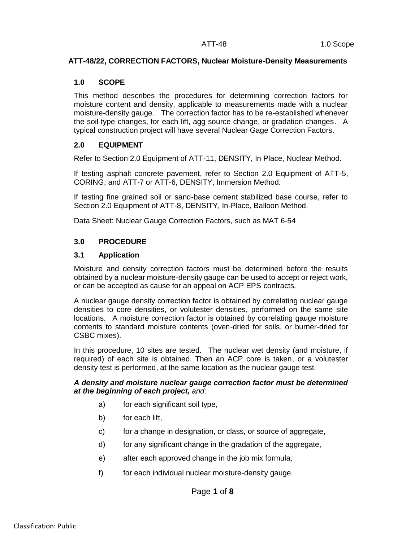## **ATT-48/22, CORRECTION FACTORS, Nuclear Moisture-Density Measurements**

## **1.0 SCOPE**

This method describes the procedures for determining correction factors for moisture content and density, applicable to measurements made with a nuclear moisture-density gauge. The correction factor has to be re-established whenever the soil type changes, for each lift, agg source change, or gradation changes. A typical construction project will have several Nuclear Gage Correction Factors.

# **2.0 EQUIPMENT**

Refer to Section 2.0 Equipment of ATT-11, DENSITY, In Place, Nuclear Method.

If testing asphalt concrete pavement, refer to Section 2.0 Equipment of ATT-5, CORING, and ATT-7 or ATT-6, DENSITY, Immersion Method.

If testing fine grained soil or sand-base cement stabilized base course, refer to Section 2.0 Equipment of ATT-8, DENSITY, In-Place, Balloon Method.

Data Sheet: Nuclear Gauge Correction Factors, such as MAT 6-54

# **3.0 PROCEDURE**

## **3.1 Application**

Moisture and density correction factors must be determined before the results obtained by a nuclear moisture-density gauge can be used to accept or reject work, or can be accepted as cause for an appeal on ACP EPS contracts.

A nuclear gauge density correction factor is obtained by correlating nuclear gauge densities to core densities, or volutester densities, performed on the same site locations. A moisture correction factor is obtained by correlating gauge moisture contents to standard moisture contents (oven-dried for soils, or burner-dried for CSBC mixes).

In this procedure, 10 sites are tested. The nuclear wet density (and moisture, if required) of each site is obtained. Then an ACP core is taken, or a volutester density test is performed, at the same location as the nuclear gauge test.

#### *A density and moisture nuclear gauge correction factor must be determined at the beginning of each project, and:*

- a) for each significant soil type,
- b) for each lift,
- c) for a change in designation, or class, or source of aggregate,
- d) for any significant change in the gradation of the aggregate,
- e) after each approved change in the job mix formula,
- f) for each individual nuclear moisture-density gauge.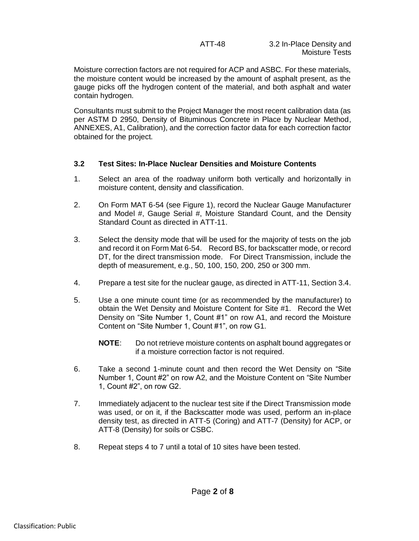Moisture correction factors are not required for ACP and ASBC. For these materials, the moisture content would be increased by the amount of asphalt present, as the gauge picks off the hydrogen content of the material, and both asphalt and water contain hydrogen.

Consultants must submit to the Project Manager the most recent calibration data (as per ASTM D 2950, Density of Bituminous Concrete in Place by Nuclear Method, ANNEXES, A1, Calibration), and the correction factor data for each correction factor obtained for the project.

## **3.2 Test Sites: In-Place Nuclear Densities and Moisture Contents**

- 1. Select an area of the roadway uniform both vertically and horizontally in moisture content, density and classification.
- 2. On Form MAT 6-54 (see Figure 1), record the Nuclear Gauge Manufacturer and Model #, Gauge Serial #, Moisture Standard Count, and the Density Standard Count as directed in ATT-11.
- 3. Select the density mode that will be used for the majority of tests on the job and record it on Form Mat 6-54. Record BS, for backscatter mode, or record DT, for the direct transmission mode. For Direct Transmission, include the depth of measurement, e.g., 50, 100, 150, 200, 250 or 300 mm.
- 4. Prepare a test site for the nuclear gauge, as directed in ATT-11, Section 3.4.
- 5. Use a one minute count time (or as recommended by the manufacturer) to obtain the Wet Density and Moisture Content for Site #1. Record the Wet Density on "Site Number 1, Count #1" on row A1, and record the Moisture Content on "Site Number 1, Count #1", on row G1.
	- **NOTE**: Do not retrieve moisture contents on asphalt bound aggregates or if a moisture correction factor is not required.
- 6. Take a second 1-minute count and then record the Wet Density on "Site Number 1, Count #2" on row A2, and the Moisture Content on "Site Number 1, Count #2", on row G2.
- 7. Immediately adjacent to the nuclear test site if the Direct Transmission mode was used, or on it, if the Backscatter mode was used, perform an in-place density test, as directed in ATT-5 (Coring) and ATT-7 (Density) for ACP, or ATT-8 (Density) for soils or CSBC.
- 8. Repeat steps 4 to 7 until a total of 10 sites have been tested.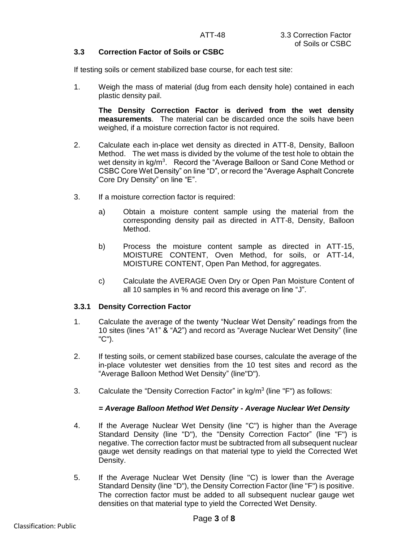## **3.3 Correction Factor of Soils or CSBC**

If testing soils or cement stabilized base course, for each test site:

1. Weigh the mass of material (dug from each density hole) contained in each plastic density pail.

**The Density Correction Factor is derived from the wet density measurements**. The material can be discarded once the soils have been weighed, if a moisture correction factor is not required.

- 2. Calculate each in-place wet density as directed in ATT-8, Density, Balloon Method. The wet mass is divided by the volume of the test hole to obtain the wet density in kg/m<sup>3</sup>. Record the "Average Balloon or Sand Cone Method or CSBC Core Wet Density" on line "D", or record the "Average Asphalt Concrete Core Dry Density" on line "E".
- 3. If a moisture correction factor is required:
	- a) Obtain a moisture content sample using the material from the corresponding density pail as directed in ATT-8, Density, Balloon Method.
	- b) Process the moisture content sample as directed in ATT-15, MOISTURE CONTENT, Oven Method, for soils, or ATT-14, MOISTURE CONTENT, Open Pan Method, for aggregates.
	- c) Calculate the AVERAGE Oven Dry or Open Pan Moisture Content of all 10 samples in % and record this average on line "J".

#### **3.3.1 Density Correction Factor**

- 1. Calculate the average of the twenty "Nuclear Wet Density" readings from the 10 sites (lines "A1" & "A2") and record as "Average Nuclear Wet Density" (line "C").
- 2. If testing soils, or cement stabilized base courses, calculate the average of the in-place volutester wet densities from the 10 test sites and record as the "Average Balloon Method Wet Density" (line"D").
- 3. Calculate the "Density Correction Factor" in  $kg/m<sup>3</sup>$  (line "F") as follows:

## *= Average Balloon Method Wet Density - Average Nuclear Wet Density*

- 4. If the Average Nuclear Wet Density (line "C") is higher than the Average Standard Density (line "D"), the "Density Correction Factor" (line "F") is negative. The correction factor must be subtracted from all subsequent nuclear gauge wet density readings on that material type to yield the Corrected Wet Density.
- 5. If the Average Nuclear Wet Density (line "C) is lower than the Average Standard Density (line "D"), the Density Correction Factor (line "F") is positive. The correction factor must be added to all subsequent nuclear gauge wet densities on that material type to yield the Corrected Wet Density.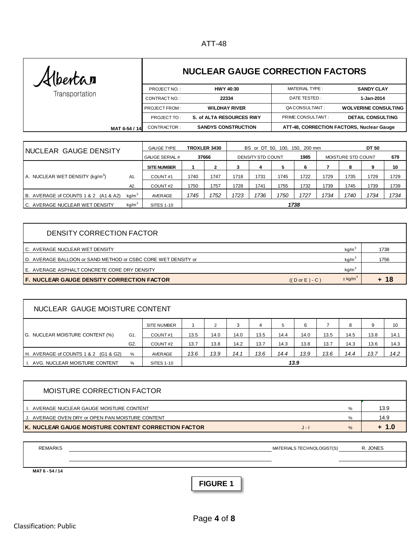# ATT-48

| Kibertar       |                              | <b>NUCLEAR GAUGE CORRECTION FACTORS</b> |                                           |                             |  |  |  |  |
|----------------|------------------------------|-----------------------------------------|-------------------------------------------|-----------------------------|--|--|--|--|
| Transportation | PROJECT NO.:                 | <b>HWY 40:30</b>                        | MATERIAL TYPE:                            | <b>SANDY CLAY</b>           |  |  |  |  |
|                | CONTRACT NO.:                | 22334                                   | DATE TESTED:                              | 1-Jan-2014                  |  |  |  |  |
|                | <b>PROJECT FROM:</b>         | <b>WILDHAY RIVER</b>                    | QA CONSULTANT:                            | <b>WOLVERINE CONSULTING</b> |  |  |  |  |
|                | PROJECT TO:                  | S. of ALTA RESOURCES RWY                | PRIME CONSULTANT:                         | <b>DETAIL CONSULTING</b>    |  |  |  |  |
|                | CONTRACTOR:<br>MAT 6-54 / 14 | <b>SANDYS CONSTRUCTION</b>              | ATT-48, CORRECTION FACTORS, Nuclear Gauge |                             |  |  |  |  |

| NUCLEAR GAUGE DENSITY                       |                   | TROXLER 3430<br><b>GAUGE TYPE</b> |      |                   | BS or DT 50, 100, 150, 200 mm |      |      |                    |      | DT 50 |      |      |  |
|---------------------------------------------|-------------------|-----------------------------------|------|-------------------|-------------------------------|------|------|--------------------|------|-------|------|------|--|
|                                             |                   | 37666<br><b>GAUGE SERIAL #</b>    |      | DENSITY STD COUNT |                               |      | 1985 | MOISTURE STD COUNT |      | 679   |      |      |  |
|                                             |                   | <b>SITE NUMBER</b>                |      |                   | 3                             | 4    | 5    | 6                  |      | 8     | 9    | 10   |  |
| A. NUCLEAR WET DENSITY (kg/m <sup>3</sup> ) | A1.               | COUNT#1                           | 1740 | 1747              | 1718                          | 1731 | 1745 | 1722               | 1729 | 1735  | 1729 | 1729 |  |
|                                             | A2.               | COUNT#2                           | 1750 | 1757              | 1728                          | 1741 | 1755 | 1732               | 1739 | 1745  | 1739 | 1739 |  |
| B. AVERAGE of COUNTS 1 & 2 (A1 & A2)        | kq/m <sup>3</sup> | AVERAGE                           | 1745 | 1752              | 1723                          | 1736 | 1750 | 1727               | 1734 | 1740  | 1734 | 1734 |  |
| C. AVERAGE NUCLEAR WET DENSITY              | kg/m <sup>3</sup> | <b>SITES 1-10</b>                 | 1738 |                   |                               |      |      |                    |      |       |      |      |  |

| DENSITY CORRECTION FACTOR                                     |                           |                         |       |
|---------------------------------------------------------------|---------------------------|-------------------------|-------|
| C. AVERAGE NUCLEAR WET DENSITY                                |                           | kg/m <sup>3</sup>       | 1738  |
| D. AVERAGE BALLOON or SAND METHOD or CSBC CORE WET DENSITY or |                           | kg/m <sup>3</sup>       | 1756  |
| E. AVERAGE ASPHALT CONCRETE CORE DRY DENSITY                  |                           | kg/m <sup>3</sup>       |       |
| F. NUCLEAR GAUGE DENSITY CORRECTION FACTOR                    | $((D \text{ or } E) - C)$ | $\pm$ kg/m <sup>3</sup> | $+18$ |
|                                                               |                           |                         |       |

| NUCLEAR GAUGE MOISTURE CONTENT       |                                   |                    |      |      |      |      |      |      |      |      |      |      |
|--------------------------------------|-----------------------------------|--------------------|------|------|------|------|------|------|------|------|------|------|
|                                      |                                   | <b>SITE NUMBER</b> |      | 2    | 3    | 4    | 5    | 6    |      | 8    | 9    | 10   |
| G. NUCLEAR MOISTURE CONTENT (%)      | G1.                               | COUNT#1            | 13.5 | 14.0 | 14.0 | 13.5 | 14.4 | 14.0 | 13.5 | 14.5 | 13.8 | 14.1 |
|                                      | G <sub>2</sub>                    | COUNT#2            | 13.7 | 13.8 | 14.2 | 13.7 | 14.3 | 13.8 | 13.7 | 14.3 | 13.6 | 14.3 |
| H. AVERAGE of COUNTS 1 & 2 (G1 & G2) | %                                 | AVERAGE            | 13.6 | 13.9 | 14.1 | 13.6 | 14.4 | 13.9 | 13.6 | 14.4 | 13.7 | 14.2 |
| I. AVG. NUCLEAR MOISTURE CONTENT     | 13.9<br>$\%$<br><b>SITES 1-10</b> |                    |      |      |      |      |      |      |      |      |      |      |

| MOISTURE CORRECTION FACTOR                                  |       |      |         |
|-------------------------------------------------------------|-------|------|---------|
| I. AVERAGE NUCLEAR GAUGE MOISTURE CONTENT                   |       | %    | 13.9    |
| J. AVERAGE OVEN DRY or OPEN PAN MOISTURE CONTENT            |       | %    | 14.9    |
| <b>IK. NUCLEAR GAUGE MOISTURE CONTENT CORRECTION FACTOR</b> | $J -$ | $\%$ | $+ 1.0$ |

| <b>REMARKS</b>  | MATERIALS TECHNOLOGIST(S) | R. JONES |
|-----------------|---------------------------|----------|
|                 |                           |          |
|                 |                           |          |
| MAT 6 - 54 / 14 |                           |          |

**FIGURE 1**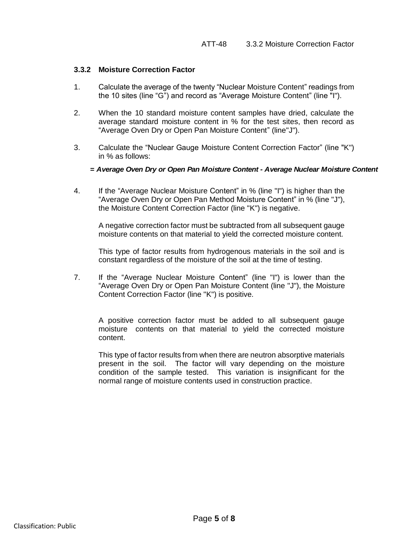#### **3.3.2 Moisture Correction Factor**

- 1. Calculate the average of the twenty "Nuclear Moisture Content" readings from the 10 sites (line "G") and record as "Average Moisture Content" (line "I").
- 2. When the 10 standard moisture content samples have dried, calculate the average standard moisture content in % for the test sites, then record as "Average Oven Dry or Open Pan Moisture Content" (line"J").
- 3. Calculate the "Nuclear Gauge Moisture Content Correction Factor" (line "K") in % as follows:
	- *= Average Oven Dry or Open Pan Moisture Content Average Nuclear Moisture Content*
- 4. If the "Average Nuclear Moisture Content" in % (line "I") is higher than the "Average Oven Dry or Open Pan Method Moisture Content" in % (line "J"), the Moisture Content Correction Factor (line "K") is negative.

A negative correction factor must be subtracted from all subsequent gauge moisture contents on that material to yield the corrected moisture content.

This type of factor results from hydrogenous materials in the soil and is constant regardless of the moisture of the soil at the time of testing.

7. If the "Average Nuclear Moisture Content" (line "I") is lower than the "Average Oven Dry or Open Pan Moisture Content (line "J"), the Moisture Content Correction Factor (line "K") is positive.

A positive correction factor must be added to all subsequent gauge moisture contents on that material to yield the corrected moisture content.

This type of factor results from when there are neutron absorptive materials present in the soil. The factor will vary depending on the moisture condition of the sample tested. This variation is insignificant for the normal range of moisture contents used in construction practice.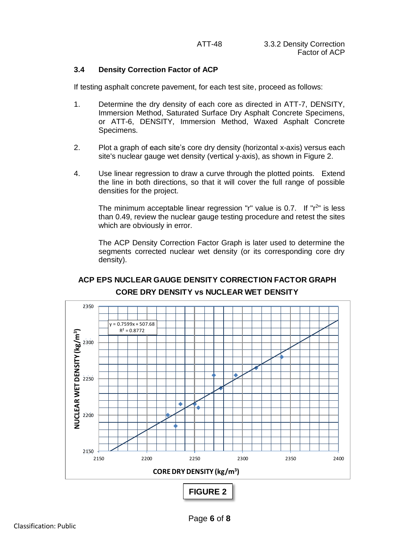## **3.4 Density Correction Factor of ACP**

If testing asphalt concrete pavement, for each test site, proceed as follows:

- 1. Determine the dry density of each core as directed in ATT-7, DENSITY, Immersion Method, Saturated Surface Dry Asphalt Concrete Specimens, or ATT-6, DENSITY, Immersion Method, Waxed Asphalt Concrete Specimens.
- 2. Plot a graph of each site's core dry density (horizontal x-axis) versus each site's nuclear gauge wet density (vertical y-axis), as shown in Figure 2.
- 4. Use linear regression to draw a curve through the plotted points. Extend the line in both directions, so that it will cover the full range of possible densities for the project.

The minimum acceptable linear regression "r" value is  $0.7$ . If " $r<sup>2</sup>$ " is less than 0.49, review the nuclear gauge testing procedure and retest the sites which are obviously in error.

The ACP Density Correction Factor Graph is later used to determine the segments corrected nuclear wet density (or its corresponding core dry density).



# **ACP EPS NUCLEAR GAUGE DENSITY CORRECTION FACTOR GRAPH CORE DRY DENSITY vs NUCLEAR WET DENSITY**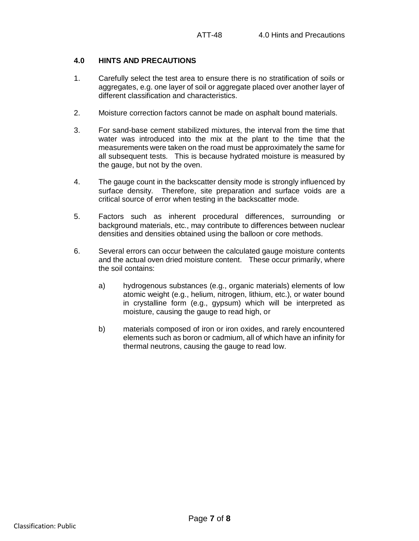## **4.0 HINTS AND PRECAUTIONS**

- 1. Carefully select the test area to ensure there is no stratification of soils or aggregates, e.g. one layer of soil or aggregate placed over another layer of different classification and characteristics.
- 2. Moisture correction factors cannot be made on asphalt bound materials.
- 3. For sand-base cement stabilized mixtures, the interval from the time that water was introduced into the mix at the plant to the time that the measurements were taken on the road must be approximately the same for all subsequent tests. This is because hydrated moisture is measured by the gauge, but not by the oven.
- 4. The gauge count in the backscatter density mode is strongly influenced by surface density. Therefore, site preparation and surface voids are a critical source of error when testing in the backscatter mode.
- 5. Factors such as inherent procedural differences, surrounding or background materials, etc., may contribute to differences between nuclear densities and densities obtained using the balloon or core methods.
- 6. Several errors can occur between the calculated gauge moisture contents and the actual oven dried moisture content. These occur primarily, where the soil contains:
	- a) hydrogenous substances (e.g., organic materials) elements of low atomic weight (e.g., helium, nitrogen, lithium, etc.), or water bound in crystalline form (e.g., gypsum) which will be interpreted as moisture, causing the gauge to read high, or
	- b) materials composed of iron or iron oxides, and rarely encountered elements such as boron or cadmium, all of which have an infinity for thermal neutrons, causing the gauge to read low.